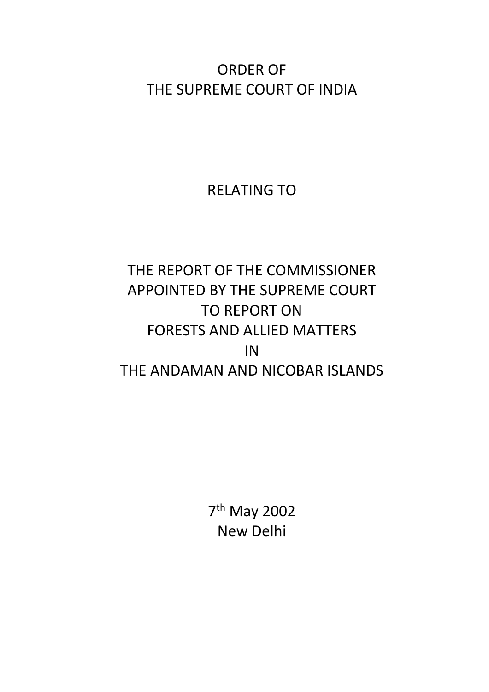ORDER OF THE SUPREME COURT OF INDIA

RELATING TO

## THE REPORT OF THE COMMISSIONER APPOINTED BY THE SUPREME COURT TO REPORT ON FORESTS AND ALLIED MATTERS IN THE ANDAMAN AND NICOBAR ISLANDS

7 th May 2002 New Delhi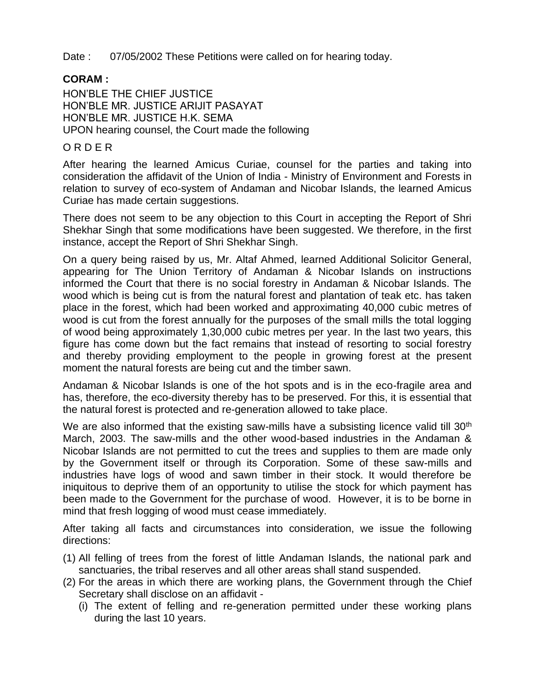Date : 07/05/2002 These Petitions were called on for hearing today.

## **CORAM :**

HON'BLE THE CHIEF JUSTICE HON'BLE MR. JUSTICE ARIJIT PASAYAT HON'BLE MR. JUSTICE H.K. SEMA UPON hearing counsel, the Court made the following

## O R D E R

After hearing the learned Amicus Curiae, counsel for the parties and taking into consideration the affidavit of the Union of India - Ministry of Environment and Forests in relation to survey of eco-system of Andaman and Nicobar Islands, the learned Amicus Curiae has made certain suggestions.

There does not seem to be any objection to this Court in accepting the Report of Shri Shekhar Singh that some modifications have been suggested. We therefore, in the first instance, accept the Report of Shri Shekhar Singh.

On a query being raised by us, Mr. Altaf Ahmed, learned Additional Solicitor General, appearing for The Union Territory of Andaman & Nicobar Islands on instructions informed the Court that there is no social forestry in Andaman & Nicobar Islands. The wood which is being cut is from the natural forest and plantation of teak etc. has taken place in the forest, which had been worked and approximating 40,000 cubic metres of wood is cut from the forest annually for the purposes of the small mills the total logging of wood being approximately 1,30,000 cubic metres per year. In the last two years, this figure has come down but the fact remains that instead of resorting to social forestry and thereby providing employment to the people in growing forest at the present moment the natural forests are being cut and the timber sawn.

Andaman & Nicobar Islands is one of the hot spots and is in the eco-fragile area and has, therefore, the eco-diversity thereby has to be preserved. For this, it is essential that the natural forest is protected and re-generation allowed to take place.

We are also informed that the existing saw-mills have a subsisting licence valid till 30<sup>th</sup> March, 2003. The saw-mills and the other wood-based industries in the Andaman & Nicobar Islands are not permitted to cut the trees and supplies to them are made only by the Government itself or through its Corporation. Some of these saw-mills and industries have logs of wood and sawn timber in their stock. It would therefore be iniquitous to deprive them of an opportunity to utilise the stock for which payment has been made to the Government for the purchase of wood. However, it is to be borne in mind that fresh logging of wood must cease immediately.

After taking all facts and circumstances into consideration, we issue the following directions:

- (1) All felling of trees from the forest of little Andaman Islands, the national park and sanctuaries, the tribal reserves and all other areas shall stand suspended.
- (2) For the areas in which there are working plans, the Government through the Chief Secretary shall disclose on an affidavit -
	- (i) The extent of felling and re-generation permitted under these working plans during the last 10 years.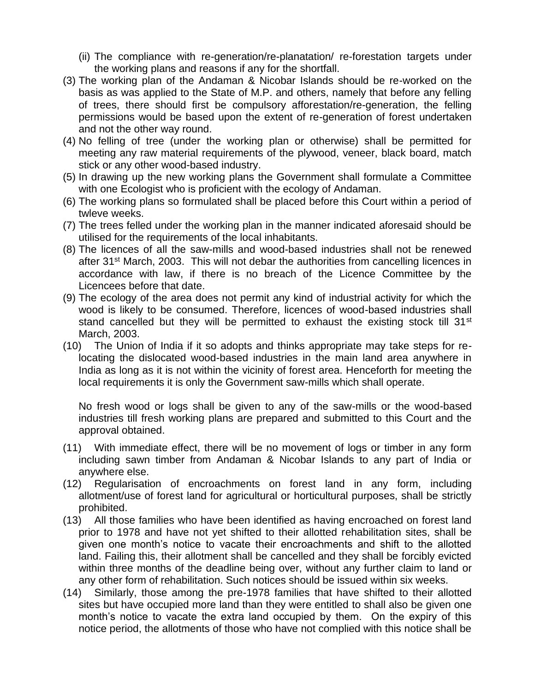- (ii) The compliance with re-generation/re-planatation/ re-forestation targets under the working plans and reasons if any for the shortfall.
- (3) The working plan of the Andaman & Nicobar Islands should be re-worked on the basis as was applied to the State of M.P. and others, namely that before any felling of trees, there should first be compulsory afforestation/re-generation, the felling permissions would be based upon the extent of re-generation of forest undertaken and not the other way round.
- (4) No felling of tree (under the working plan or otherwise) shall be permitted for meeting any raw material requirements of the plywood, veneer, black board, match stick or any other wood-based industry.
- (5) In drawing up the new working plans the Government shall formulate a Committee with one Ecologist who is proficient with the ecology of Andaman.
- (6) The working plans so formulated shall be placed before this Court within a period of twleve weeks.
- (7) The trees felled under the working plan in the manner indicated aforesaid should be utilised for the requirements of the local inhabitants.
- (8) The licences of all the saw-mills and wood-based industries shall not be renewed after 31<sup>st</sup> March, 2003. This will not debar the authorities from cancelling licences in accordance with law, if there is no breach of the Licence Committee by the Licencees before that date.
- (9) The ecology of the area does not permit any kind of industrial activity for which the wood is likely to be consumed. Therefore, licences of wood-based industries shall stand cancelled but they will be permitted to exhaust the existing stock till  $31<sup>st</sup>$ March, 2003.
- (10) The Union of India if it so adopts and thinks appropriate may take steps for relocating the dislocated wood-based industries in the main land area anywhere in India as long as it is not within the vicinity of forest area. Henceforth for meeting the local requirements it is only the Government saw-mills which shall operate.

No fresh wood or logs shall be given to any of the saw-mills or the wood-based industries till fresh working plans are prepared and submitted to this Court and the approval obtained.

- (11) With immediate effect, there will be no movement of logs or timber in any form including sawn timber from Andaman & Nicobar Islands to any part of India or anywhere else.
- (12) Regularisation of encroachments on forest land in any form, including allotment/use of forest land for agricultural or horticultural purposes, shall be strictly prohibited.
- (13) All those families who have been identified as having encroached on forest land prior to 1978 and have not yet shifted to their allotted rehabilitation sites, shall be given one month's notice to vacate their encroachments and shift to the allotted land. Failing this, their allotment shall be cancelled and they shall be forcibly evicted within three months of the deadline being over, without any further claim to land or any other form of rehabilitation. Such notices should be issued within six weeks.
- (14) Similarly, those among the pre-1978 families that have shifted to their allotted sites but have occupied more land than they were entitled to shall also be given one month's notice to vacate the extra land occupied by them. On the expiry of this notice period, the allotments of those who have not complied with this notice shall be